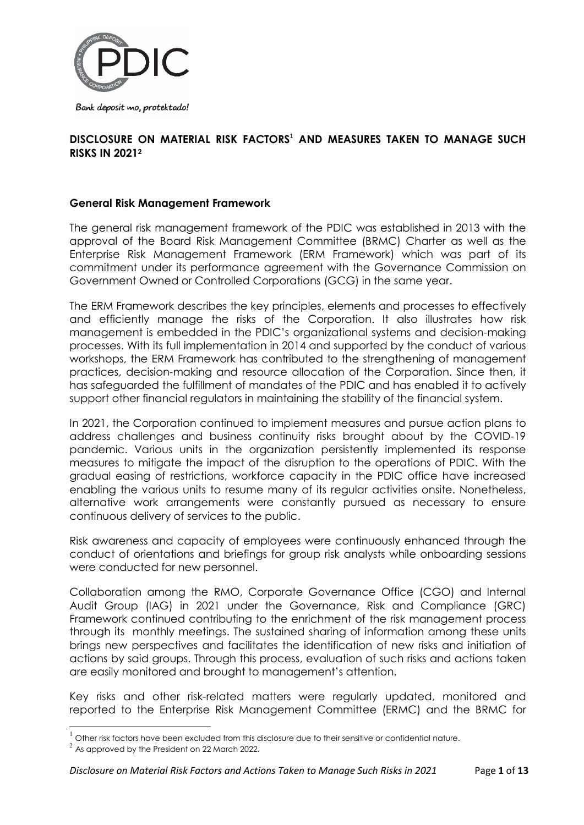

Bank deposit mo, protektado!

## **DISCLOSURE ON MATERIAL RISK FACTORS**<sup>1</sup> **AND MEASURES TAKEN TO MANAGE SUCH RISKS IN 2021<sup>2</sup>**

### **General Risk Management Framework**

The general risk management framework of the PDIC was established in 2013 with the approval of the Board Risk Management Committee (BRMC) Charter as well as the Enterprise Risk Management Framework (ERM Framework) which was part of its commitment under its performance agreement with the Governance Commission on Government Owned or Controlled Corporations (GCG) in the same year.

The ERM Framework describes the key principles, elements and processes to effectively and efficiently manage the risks of the Corporation. It also illustrates how risk management is embedded in the PDIC's organizational systems and decision-making processes. With its full implementation in 2014 and supported by the conduct of various workshops, the ERM Framework has contributed to the strengthening of management practices, decision-making and resource allocation of the Corporation. Since then, it has safeguarded the fulfillment of mandates of the PDIC and has enabled it to actively support other financial regulators in maintaining the stability of the financial system.

In 2021, the Corporation continued to implement measures and pursue action plans to address challenges and business continuity risks brought about by the COVID-19 pandemic. Various units in the organization persistently implemented its response measures to mitigate the impact of the disruption to the operations of PDIC. With the gradual easing of restrictions, workforce capacity in the PDIC office have increased enabling the various units to resume many of its regular activities onsite. Nonetheless, alternative work arrangements were constantly pursued as necessary to ensure continuous delivery of services to the public.

Risk awareness and capacity of employees were continuously enhanced through the conduct of orientations and briefings for group risk analysts while onboarding sessions were conducted for new personnel.

Collaboration among the RMO, Corporate Governance Office (CGO) and Internal Audit Group (IAG) in 2021 under the Governance, Risk and Compliance (GRC) Framework continued contributing to the enrichment of the risk management process through its monthly meetings. The sustained sharing of information among these units brings new perspectives and facilitates the identification of new risks and initiation of actions by said groups. Through this process, evaluation of such risks and actions taken are easily monitored and brought to management's attention.

Key risks and other risk-related matters were regularly updated, monitored and reported to the Enterprise Risk Management Committee (ERMC) and the BRMC for

 $\overline{a}$ 

 $^1$  Other risk factors have been excluded from this disclosure due to their sensitive or confidential nature.

 $^2$  As approved by the President on 22 March 2022.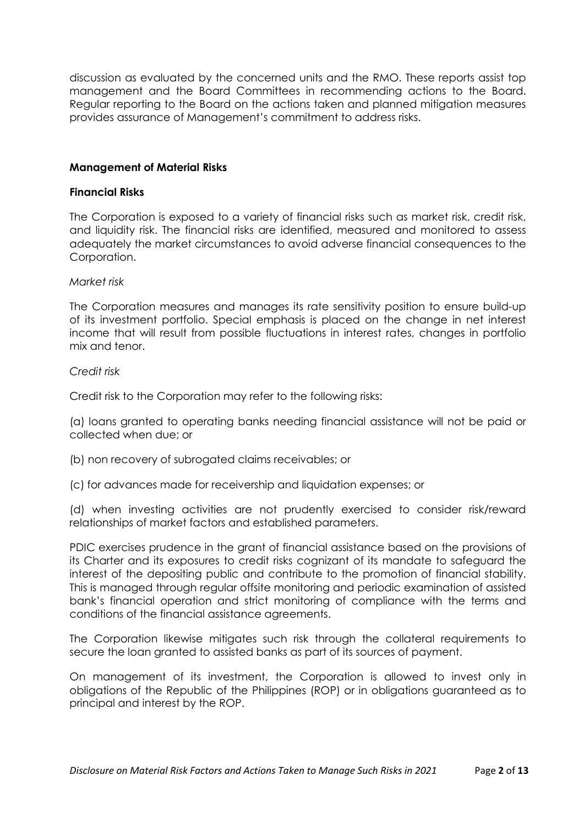discussion as evaluated by the concerned units and the RMO. These reports assist top management and the Board Committees in recommending actions to the Board. Regular reporting to the Board on the actions taken and planned mitigation measures provides assurance of Management's commitment to address risks.

#### **Management of Material Risks**

#### **Financial Risks**

The Corporation is exposed to a variety of financial risks such as market risk, credit risk, and liquidity risk. The financial risks are identified, measured and monitored to assess adequately the market circumstances to avoid adverse financial consequences to the Corporation.

#### *Market risk*

The Corporation measures and manages its rate sensitivity position to ensure build-up of its investment portfolio. Special emphasis is placed on the change in net interest income that will result from possible fluctuations in interest rates, changes in portfolio mix and tenor.

#### *Credit risk*

Credit risk to the Corporation may refer to the following risks:

(a) loans granted to operating banks needing financial assistance will not be paid or collected when due; or

(b) non recovery of subrogated claims receivables; or

(c) for advances made for receivership and liquidation expenses; or

(d) when investing activities are not prudently exercised to consider risk/reward relationships of market factors and established parameters.

PDIC exercises prudence in the grant of financial assistance based on the provisions of its Charter and its exposures to credit risks cognizant of its mandate to safeguard the interest of the depositing public and contribute to the promotion of financial stability. This is managed through regular offsite monitoring and periodic examination of assisted bank's financial operation and strict monitoring of compliance with the terms and conditions of the financial assistance agreements.

The Corporation likewise mitigates such risk through the collateral requirements to secure the loan granted to assisted banks as part of its sources of payment.

On management of its investment, the Corporation is allowed to invest only in obligations of the Republic of the Philippines (ROP) or in obligations guaranteed as to principal and interest by the ROP.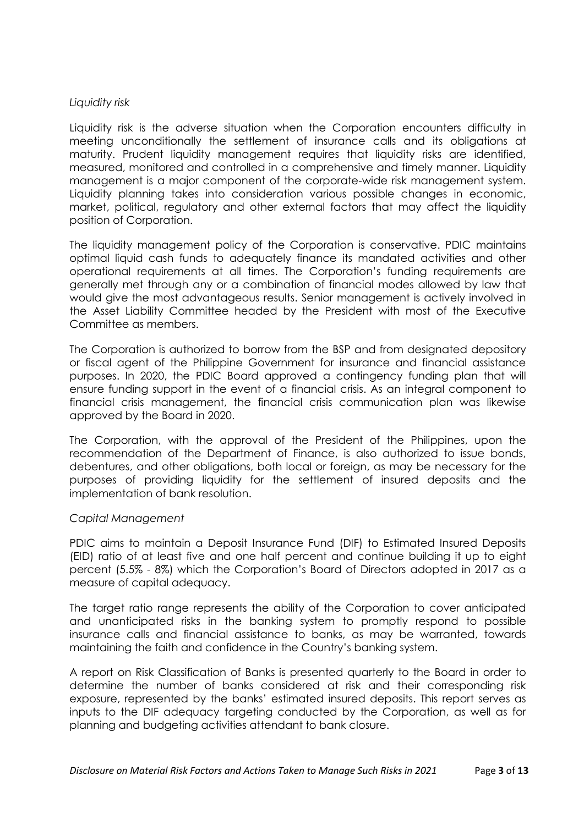#### *Liquidity risk*

Liquidity risk is the adverse situation when the Corporation encounters difficulty in meeting unconditionally the settlement of insurance calls and its obligations at maturity. Prudent liquidity management requires that liquidity risks are identified, measured, monitored and controlled in a comprehensive and timely manner. Liquidity management is a major component of the corporate-wide risk management system. Liquidity planning takes into consideration various possible changes in economic, market, political, regulatory and other external factors that may affect the liquidity position of Corporation.

The liquidity management policy of the Corporation is conservative. PDIC maintains optimal liquid cash funds to adequately finance its mandated activities and other operational requirements at all times. The Corporation's funding requirements are generally met through any or a combination of financial modes allowed by law that would give the most advantageous results. Senior management is actively involved in the Asset Liability Committee headed by the President with most of the Executive Committee as members.

The Corporation is authorized to borrow from the BSP and from designated depository or fiscal agent of the Philippine Government for insurance and financial assistance purposes. In 2020, the PDIC Board approved a contingency funding plan that will ensure funding support in the event of a financial crisis. As an integral component to financial crisis management, the financial crisis communication plan was likewise approved by the Board in 2020.

The Corporation, with the approval of the President of the Philippines, upon the recommendation of the Department of Finance, is also authorized to issue bonds, debentures, and other obligations, both local or foreign, as may be necessary for the purposes of providing liquidity for the settlement of insured deposits and the implementation of bank resolution.

### *Capital Management*

PDIC aims to maintain a Deposit Insurance Fund (DIF) to Estimated Insured Deposits (EID) ratio of at least five and one half percent and continue building it up to eight percent (5.5% - 8%) which the Corporation's Board of Directors adopted in 2017 as a measure of capital adequacy.

The target ratio range represents the ability of the Corporation to cover anticipated and unanticipated risks in the banking system to promptly respond to possible insurance calls and financial assistance to banks, as may be warranted, towards maintaining the faith and confidence in the Country's banking system.

A report on Risk Classification of Banks is presented quarterly to the Board in order to determine the number of banks considered at risk and their corresponding risk exposure, represented by the banks' estimated insured deposits. This report serves as inputs to the DIF adequacy targeting conducted by the Corporation, as well as for planning and budgeting activities attendant to bank closure.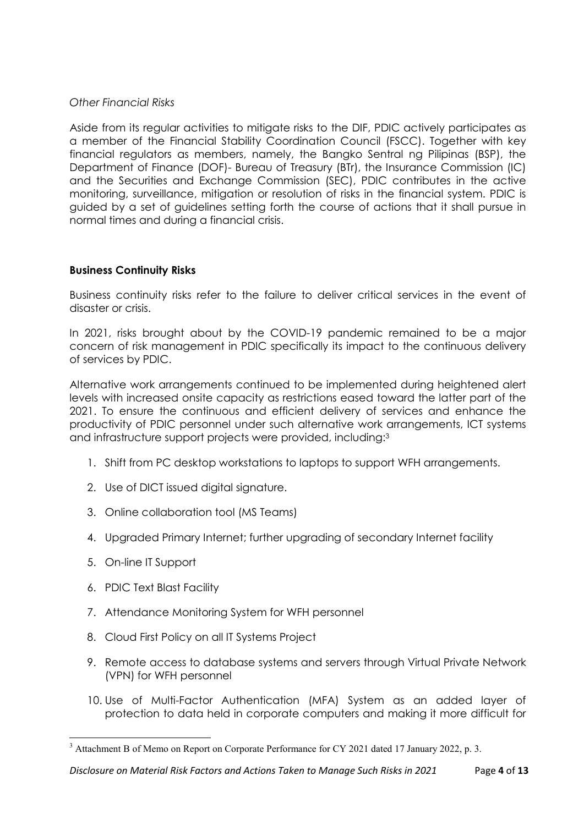### *Other Financial Risks*

Aside from its regular activities to mitigate risks to the DIF, PDIC actively participates as a member of the Financial Stability Coordination Council (FSCC). Together with key financial regulators as members, namely, the Bangko Sentral ng Pilipinas (BSP), the Department of Finance (DOF)- Bureau of Treasury (BTr), the Insurance Commission (IC) and the Securities and Exchange Commission (SEC), PDIC contributes in the active monitoring, surveillance, mitigation or resolution of risks in the financial system. PDIC is guided by a set of guidelines setting forth the course of actions that it shall pursue in normal times and during a financial crisis.

### **Business Continuity Risks**

Business continuity risks refer to the failure to deliver critical services in the event of disaster or crisis.

In 2021, risks brought about by the COVID-19 pandemic remained to be a major concern of risk management in PDIC specifically its impact to the continuous delivery of services by PDIC.

Alternative work arrangements continued to be implemented during heightened alert levels with increased onsite capacity as restrictions eased toward the latter part of the 2021. To ensure the continuous and efficient delivery of services and enhance the productivity of PDIC personnel under such alternative work arrangements, ICT systems and infrastructure support projects were provided, including:<sup>3</sup>

- 1. Shift from PC desktop workstations to laptops to support WFH arrangements.
- 2. Use of DICT issued digital signature.
- 3. Online collaboration tool (MS Teams)
- 4. Upgraded Primary Internet; further upgrading of secondary Internet facility
- 5. On-line IT Support

- 6. PDIC Text Blast Facility
- 7. Attendance Monitoring System for WFH personnel
- 8. Cloud First Policy on all IT Systems Project
- 9. Remote access to database systems and servers through Virtual Private Network (VPN) for WFH personnel
- 10. Use of Multi-Factor Authentication (MFA) System as an added layer of protection to data held in corporate computers and making it more difficult for

<sup>&</sup>lt;sup>3</sup> Attachment B of Memo on Report on Corporate Performance for CY 2021 dated 17 January 2022, p. 3.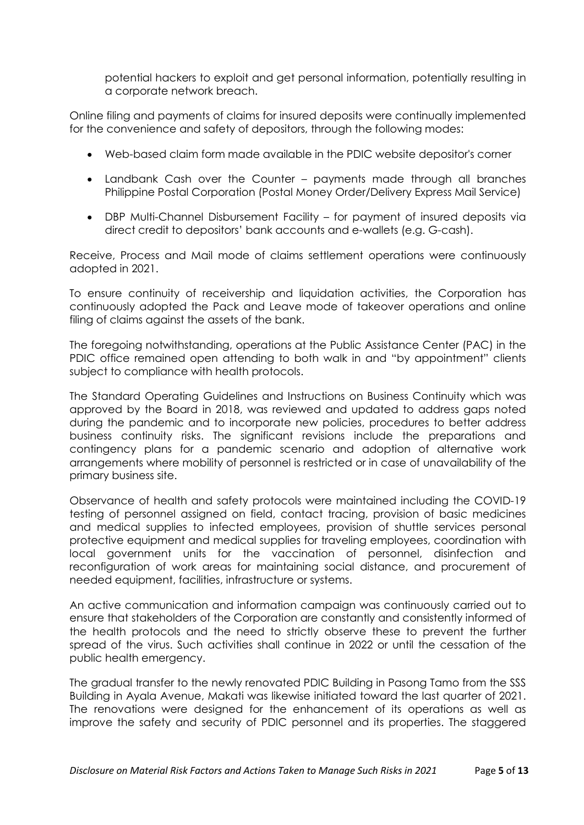potential hackers to exploit and get personal information, potentially resulting in a corporate network breach.

Online filing and payments of claims for insured deposits were continually implemented for the convenience and safety of depositors, through the following modes:

- Web-based claim form made available in the PDIC website depositor's corner
- Landbank Cash over the Counter payments made through all branches Philippine Postal Corporation (Postal Money Order/Delivery Express Mail Service)
- DBP Multi-Channel Disbursement Facility for payment of insured deposits via direct credit to depositors' bank accounts and e-wallets (e.g. G-cash).

Receive, Process and Mail mode of claims settlement operations were continuously adopted in 2021.

To ensure continuity of receivership and liquidation activities, the Corporation has continuously adopted the Pack and Leave mode of takeover operations and online filing of claims against the assets of the bank.

The foregoing notwithstanding, operations at the Public Assistance Center (PAC) in the PDIC office remained open attending to both walk in and "by appointment" clients subject to compliance with health protocols.

The Standard Operating Guidelines and Instructions on Business Continuity which was approved by the Board in 2018, was reviewed and updated to address gaps noted during the pandemic and to incorporate new policies, procedures to better address business continuity risks. The significant revisions include the preparations and contingency plans for a pandemic scenario and adoption of alternative work arrangements where mobility of personnel is restricted or in case of unavailability of the primary business site.

Observance of health and safety protocols were maintained including the COVID-19 testing of personnel assigned on field, contact tracing, provision of basic medicines and medical supplies to infected employees, provision of shuttle services personal protective equipment and medical supplies for traveling employees, coordination with local government units for the vaccination of personnel, disinfection and reconfiguration of work areas for maintaining social distance, and procurement of needed equipment, facilities, infrastructure or systems.

An active communication and information campaign was continuously carried out to ensure that stakeholders of the Corporation are constantly and consistently informed of the health protocols and the need to strictly observe these to prevent the further spread of the virus. Such activities shall continue in 2022 or until the cessation of the public health emergency.

The gradual transfer to the newly renovated PDIC Building in Pasong Tamo from the SSS Building in Ayala Avenue, Makati was likewise initiated toward the last quarter of 2021. The renovations were designed for the enhancement of its operations as well as improve the safety and security of PDIC personnel and its properties. The staggered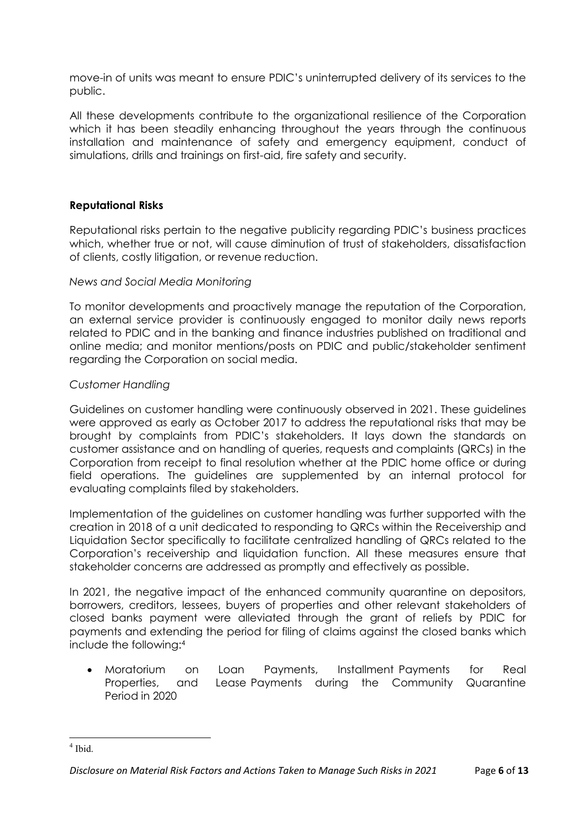move-in of units was meant to ensure PDIC's uninterrupted delivery of its services to the public.

All these developments contribute to the organizational resilience of the Corporation which it has been steadily enhancing throughout the years through the continuous installation and maintenance of safety and emergency equipment, conduct of simulations, drills and trainings on first-aid, fire safety and security.

## **Reputational Risks**

Reputational risks pertain to the negative publicity regarding PDIC's business practices which, whether true or not, will cause diminution of trust of stakeholders, dissatisfaction of clients, costly litigation, or revenue reduction.

### *News and Social Media Monitoring*

To monitor developments and proactively manage the reputation of the Corporation, an external service provider is continuously engaged to monitor daily news reports related to PDIC and in the banking and finance industries published on traditional and online media; and monitor mentions/posts on PDIC and public/stakeholder sentiment regarding the Corporation on social media.

### *Customer Handling*

Guidelines on customer handling were continuously observed in 2021. These guidelines were approved as early as October 2017 to address the reputational risks that may be brought by complaints from PDIC's stakeholders. It lays down the standards on customer assistance and on handling of queries, requests and complaints (QRCs) in the Corporation from receipt to final resolution whether at the PDIC home office or during field operations. The guidelines are supplemented by an internal protocol for evaluating complaints filed by stakeholders.

Implementation of the guidelines on customer handling was further supported with the creation in 2018 of a unit dedicated to responding to QRCs within the Receivership and Liquidation Sector specifically to facilitate centralized handling of QRCs related to the Corporation's receivership and liquidation function. All these measures ensure that stakeholder concerns are addressed as promptly and effectively as possible.

In 2021, the negative impact of the enhanced community quarantine on depositors, borrowers, creditors, lessees, buyers of properties and other relevant stakeholders of closed banks payment were alleviated through the grant of reliefs by PDIC for payments and extending the period for filing of claims against the closed banks which include the following:<sup>4</sup>

 Moratorium on Loan Payments, Installment Payments for Real Properties, and Lease Payments during the Community Quarantine Period in 2020

<sup>4</sup> Ibid.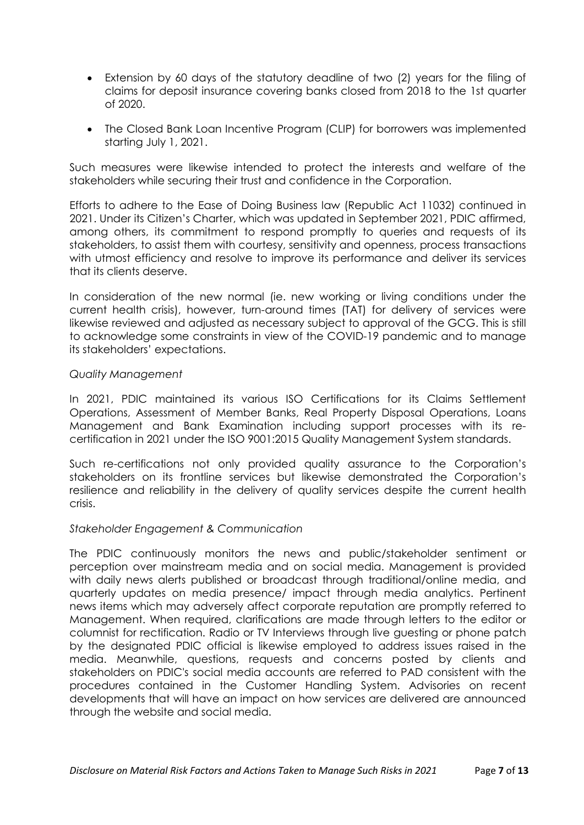- Extension by 60 days of the statutory deadline of two (2) years for the filing of claims for deposit insurance covering banks closed from 2018 to the 1st quarter of 2020.
- The Closed Bank Loan Incentive Program (CLIP) for borrowers was implemented starting July 1, 2021.

Such measures were likewise intended to protect the interests and welfare of the stakeholders while securing their trust and confidence in the Corporation.

Efforts to adhere to the Ease of Doing Business law (Republic Act 11032) continued in 2021. Under its Citizen's Charter, which was updated in September 2021, PDIC affirmed, among others, its commitment to respond promptly to queries and requests of its stakeholders, to assist them with courtesy, sensitivity and openness, process transactions with utmost efficiency and resolve to improve its performance and deliver its services that its clients deserve.

In consideration of the new normal (ie. new working or living conditions under the current health crisis), however, turn-around times (TAT) for delivery of services were likewise reviewed and adjusted as necessary subject to approval of the GCG. This is still to acknowledge some constraints in view of the COVID-19 pandemic and to manage its stakeholders' expectations.

### *Quality Management*

In 2021, PDIC maintained its various ISO Certifications for its Claims Settlement Operations, Assessment of Member Banks, Real Property Disposal Operations, Loans Management and Bank Examination including support processes with its recertification in 2021 under the ISO 9001:2015 Quality Management System standards.

Such re-certifications not only provided quality assurance to the Corporation's stakeholders on its frontline services but likewise demonstrated the Corporation's resilience and reliability in the delivery of quality services despite the current health crisis.

### *Stakeholder Engagement & Communication*

The PDIC continuously monitors the news and public/stakeholder sentiment or perception over mainstream media and on social media. Management is provided with daily news alerts published or broadcast through traditional/online media, and quarterly updates on media presence/ impact through media analytics. Pertinent news items which may adversely affect corporate reputation are promptly referred to Management. When required, clarifications are made through letters to the editor or columnist for rectification. Radio or TV Interviews through live guesting or phone patch by the designated PDIC official is likewise employed to address issues raised in the media. Meanwhile, questions, requests and concerns posted by clients and stakeholders on PDIC's social media accounts are referred to PAD consistent with the procedures contained in the Customer Handling System. Advisories on recent developments that will have an impact on how services are delivered are announced through the website and social media.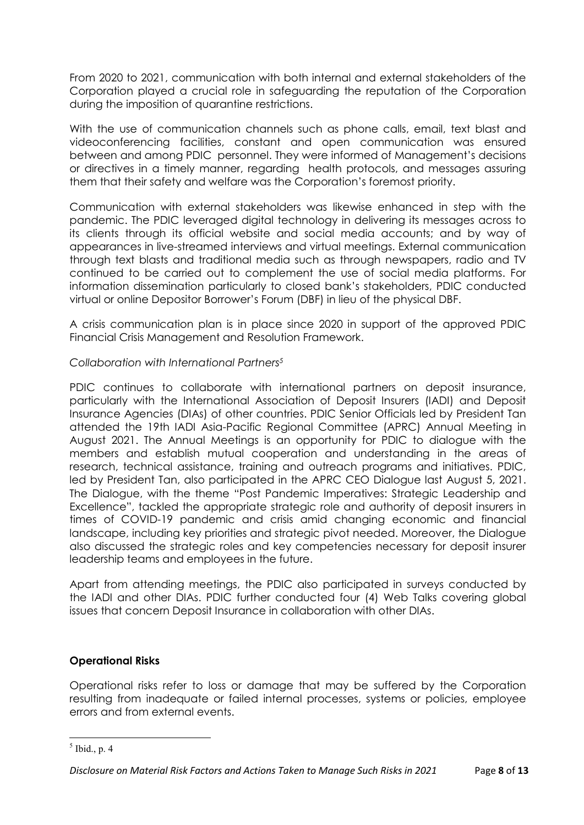From 2020 to 2021, communication with both internal and external stakeholders of the Corporation played a crucial role in safeguarding the reputation of the Corporation during the imposition of quarantine restrictions.

With the use of communication channels such as phone calls, email, text blast and videoconferencing facilities, constant and open communication was ensured between and among PDIC personnel. They were informed of Management's decisions or directives in a timely manner, regarding health protocols, and messages assuring them that their safety and welfare was the Corporation's foremost priority.

Communication with external stakeholders was likewise enhanced in step with the pandemic. The PDIC leveraged digital technology in delivering its messages across to its clients through its official website and social media accounts; and by way of appearances in live-streamed interviews and virtual meetings. External communication through text blasts and traditional media such as through newspapers, radio and TV continued to be carried out to complement the use of social media platforms. For information dissemination particularly to closed bank's stakeholders, PDIC conducted virtual or online Depositor Borrower's Forum (DBF) in lieu of the physical DBF.

A crisis communication plan is in place since 2020 in support of the approved PDIC Financial Crisis Management and Resolution Framework.

### *Collaboration with International Partners<sup>5</sup>*

PDIC continues to collaborate with international partners on deposit insurance, particularly with the International Association of Deposit Insurers (IADI) and Deposit Insurance Agencies (DIAs) of other countries. PDIC Senior Officials led by President Tan attended the 19th IADI Asia-Pacific Regional Committee (APRC) Annual Meeting in August 2021. The Annual Meetings is an opportunity for PDIC to dialogue with the members and establish mutual cooperation and understanding in the areas of research, technical assistance, training and outreach programs and initiatives. PDIC, led by President Tan, also participated in the APRC CEO Dialogue last August 5, 2021. The Dialogue, with the theme "Post Pandemic Imperatives: Strategic Leadership and Excellence", tackled the appropriate strategic role and authority of deposit insurers in times of COVID-19 pandemic and crisis amid changing economic and financial landscape, including key priorities and strategic pivot needed. Moreover, the Dialogue also discussed the strategic roles and key competencies necessary for deposit insurer leadership teams and employees in the future.

Apart from attending meetings, the PDIC also participated in surveys conducted by the IADI and other DIAs. PDIC further conducted four (4) Web Talks covering global issues that concern Deposit Insurance in collaboration with other DIAs.

### **Operational Risks**

Operational risks refer to loss or damage that may be suffered by the Corporation resulting from inadequate or failed internal processes, systems or policies, employee errors and from external events.

 $<sup>5</sup>$  Ibid., p. 4</sup>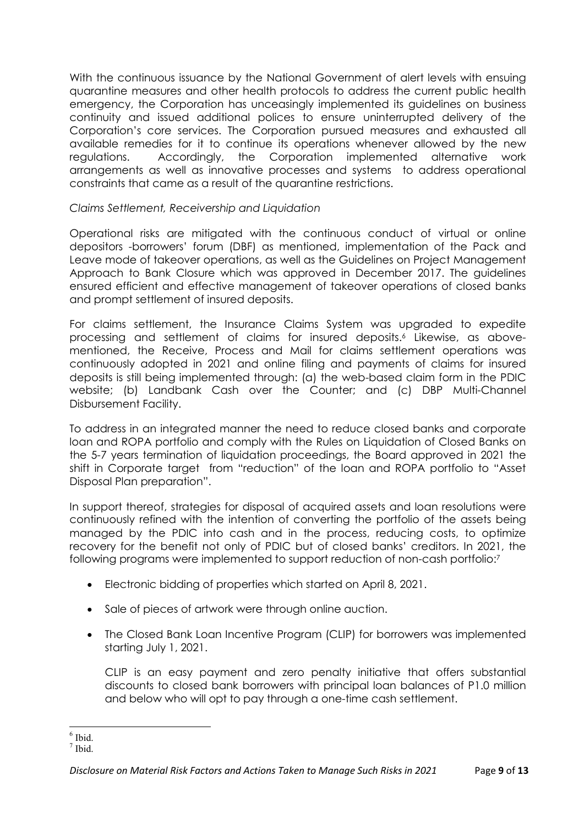With the continuous issuance by the National Government of alert levels with ensuing quarantine measures and other health protocols to address the current public health emergency, the Corporation has unceasingly implemented its guidelines on business continuity and issued additional polices to ensure uninterrupted delivery of the Corporation's core services. The Corporation pursued measures and exhausted all available remedies for it to continue its operations whenever allowed by the new regulations. Accordingly, the Corporation implemented alternative work arrangements as well as innovative processes and systems to address operational constraints that came as a result of the quarantine restrictions.

# *Claims Settlement, Receivership and Liquidation*

Operational risks are mitigated with the continuous conduct of virtual or online depositors -borrowers' forum (DBF) as mentioned, implementation of the Pack and Leave mode of takeover operations, as well as the Guidelines on Project Management Approach to Bank Closure which was approved in December 2017. The guidelines ensured efficient and effective management of takeover operations of closed banks and prompt settlement of insured deposits.

For claims settlement, the Insurance Claims System was upgraded to expedite processing and settlement of claims for insured deposits.<sup>6</sup> Likewise, as abovementioned, the Receive, Process and Mail for claims settlement operations was continuously adopted in 2021 and online filing and payments of claims for insured deposits is still being implemented through: (a) the web-based claim form in the PDIC website; (b) Landbank Cash over the Counter; and (c) DBP Multi-Channel Disbursement Facility.

To address in an integrated manner the need to reduce closed banks and corporate loan and ROPA portfolio and comply with the Rules on Liquidation of Closed Banks on the 5-7 years termination of liquidation proceedings, the Board approved in 2021 the shift in Corporate target from "reduction" of the loan and ROPA portfolio to "Asset Disposal Plan preparation".

In support thereof, strategies for disposal of acquired assets and loan resolutions were continuously refined with the intention of converting the portfolio of the assets being managed by the PDIC into cash and in the process, reducing costs, to optimize recovery for the benefit not only of PDIC but of closed banks' creditors. In 2021, the following programs were implemented to support reduction of non-cash portfolio:<sup>7</sup>

- Electronic bidding of properties which started on April 8, 2021.
- Sale of pieces of artwork were through online auction.
- The Closed Bank Loan Incentive Program (CLIP) for borrowers was implemented starting July 1, 2021.

CLIP is an easy payment and zero penalty initiative that offers substantial discounts to closed bank borrowers with principal loan balances of P1.0 million and below who will opt to pay through a one-time cash settlement.

 6 Ibid.

<sup>7</sup> Ibid.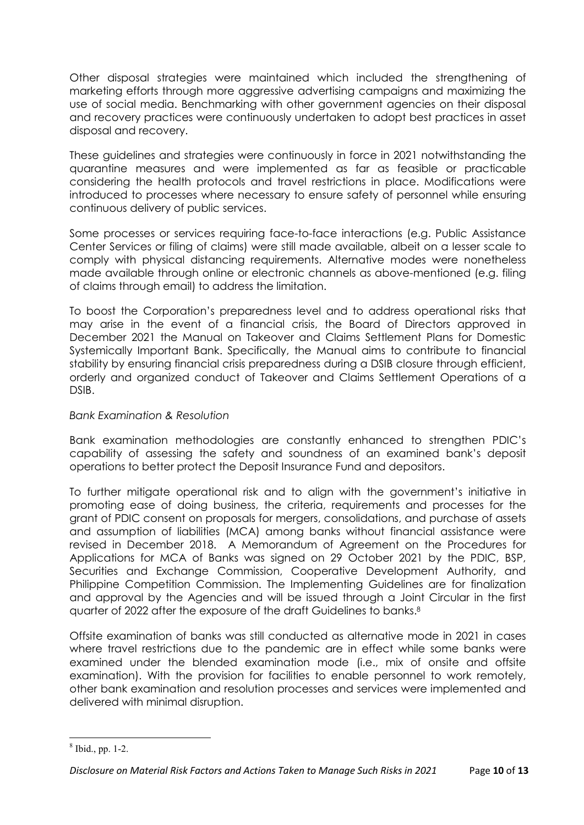Other disposal strategies were maintained which included the strengthening of marketing efforts through more aggressive advertising campaigns and maximizing the use of social media. Benchmarking with other government agencies on their disposal and recovery practices were continuously undertaken to adopt best practices in asset disposal and recovery.

These guidelines and strategies were continuously in force in 2021 notwithstanding the quarantine measures and were implemented as far as feasible or practicable considering the health protocols and travel restrictions in place. Modifications were introduced to processes where necessary to ensure safety of personnel while ensuring continuous delivery of public services.

Some processes or services requiring face-to-face interactions (e.g. Public Assistance Center Services or filing of claims) were still made available, albeit on a lesser scale to comply with physical distancing requirements. Alternative modes were nonetheless made available through online or electronic channels as above-mentioned (e.g. filing of claims through email) to address the limitation.

To boost the Corporation's preparedness level and to address operational risks that may arise in the event of a financial crisis, the Board of Directors approved in December 2021 the Manual on Takeover and Claims Settlement Plans for Domestic Systemically Important Bank. Specifically, the Manual aims to contribute to financial stability by ensuring financial crisis preparedness during a DSIB closure through efficient, orderly and organized conduct of Takeover and Claims Settlement Operations of a DSIB.

### *Bank Examination & Resolution*

Bank examination methodologies are constantly enhanced to strengthen PDIC's capability of assessing the safety and soundness of an examined bank's deposit operations to better protect the Deposit Insurance Fund and depositors.

To further mitigate operational risk and to align with the government's initiative in promoting ease of doing business, the criteria, requirements and processes for the grant of PDIC consent on proposals for mergers, consolidations, and purchase of assets and assumption of liabilities (MCA) among banks without financial assistance were revised in December 2018. A Memorandum of Agreement on the Procedures for Applications for MCA of Banks was signed on 29 October 2021 by the PDIC, BSP, Securities and Exchange Commission, Cooperative Development Authority, and Philippine Competition Commission. The Implementing Guidelines are for finalization and approval by the Agencies and will be issued through a Joint Circular in the first quarter of 2022 after the exposure of the draft Guidelines to banks.<sup>8</sup>

Offsite examination of banks was still conducted as alternative mode in 2021 in cases where travel restrictions due to the pandemic are in effect while some banks were examined under the blended examination mode (i.e., mix of onsite and offsite examination). With the provision for facilities to enable personnel to work remotely, other bank examination and resolution processes and services were implemented and delivered with minimal disruption.

<sup>8</sup> Ibid., pp. 1-2.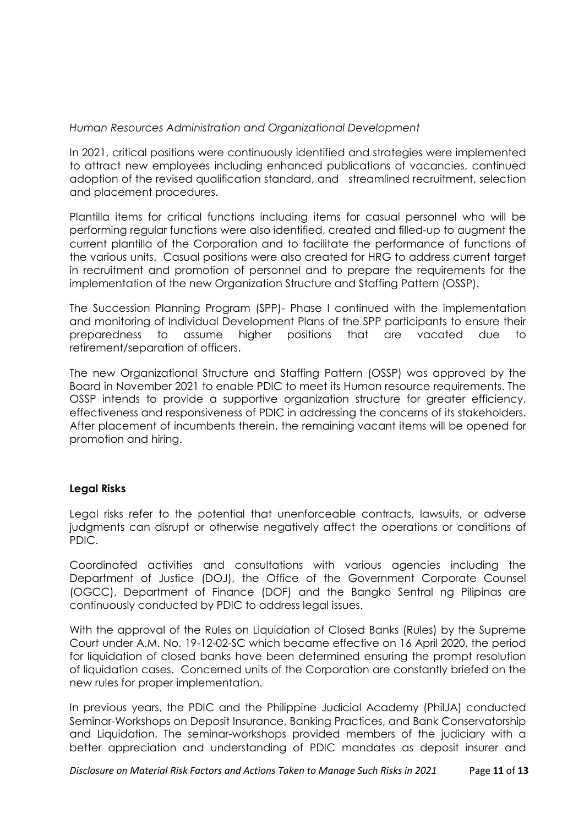*Human Resources Administration and Organizational Development*

In 2021, critical positions were continuously identified and strategies were implemented to attract new employees including enhanced publications of vacancies, continued adoption of the revised qualification standard, and streamlined recruitment, selection and placement procedures.

Plantilla items for critical functions including items for casual personnel who will be performing regular functions were also identified, created and filled-up to augment the current plantilla of the Corporation and to facilitate the performance of functions of the various units. Casual positions were also created for HRG to address current target in recruitment and promotion of personnel and to prepare the requirements for the implementation of the new Organization Structure and Staffing Pattern (OSSP).

The Succession Planning Program (SPP)- Phase I continued with the implementation and monitoring of Individual Development Plans of the SPP participants to ensure their preparedness to assume higher positions that are vacated due to retirement/separation of officers.

The new Organizational Structure and Staffing Pattern (OSSP) was approved by the Board in November 2021 to enable PDIC to meet its Human resource requirements. The OSSP intends to provide a supportive organization structure for greater efficiency, effectiveness and responsiveness of PDIC in addressing the concerns of its stakeholders. After placement of incumbents therein, the remaining vacant items will be opened for promotion and hiring.

## **Legal Risks**

Legal risks refer to the potential that unenforceable contracts, lawsuits, or adverse judgments can disrupt or otherwise negatively affect the operations or conditions of PDIC.

Coordinated activities and consultations with various agencies including the Department of Justice (DOJ), the Office of the Government Corporate Counsel (OGCC), Department of Finance (DOF) and the Bangko Sentral ng Pilipinas are continuously conducted by PDIC to address legal issues.

With the approval of the Rules on Liquidation of Closed Banks (Rules) by the Supreme Court under A.M. No. 19-12-02-SC which became effective on 16 April 2020, the period for liquidation of closed banks have been determined ensuring the prompt resolution of liquidation cases. Concerned units of the Corporation are constantly briefed on the new rules for proper implementation.

In previous years, the PDIC and the Philippine Judicial Academy (PhilJA) conducted Seminar-Workshops on Deposit Insurance, Banking Practices, and Bank Conservatorship and Liquidation. The seminar-workshops provided members of the judiciary with a better appreciation and understanding of PDIC mandates as deposit insurer and

*Disclosure on Material Risk Factors and Actions Taken to Manage Such Risks in 2021* Page **11** of **13**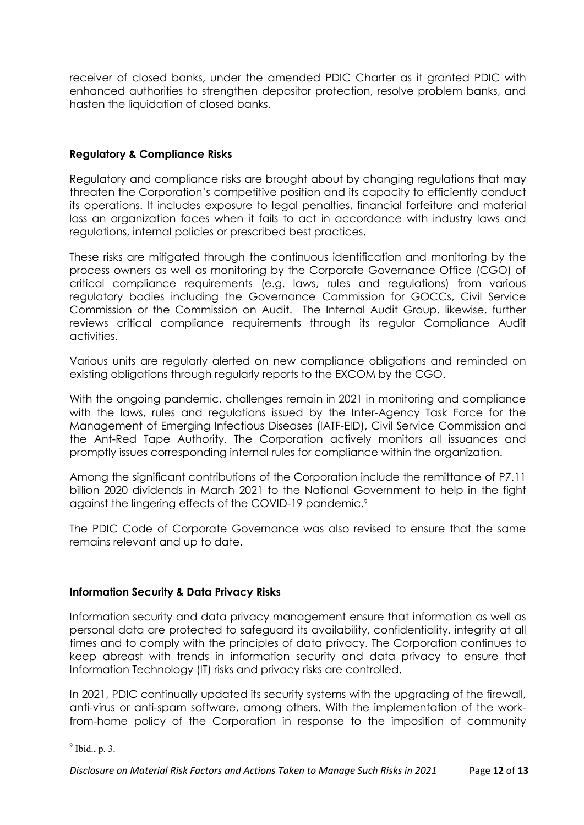receiver of closed banks, under the amended PDIC Charter as it granted PDIC with enhanced authorities to strengthen depositor protection, resolve problem banks, and hasten the liquidation of closed banks.

# **Regulatory & Compliance Risks**

Regulatory and compliance risks are brought about by changing regulations that may threaten the Corporation's competitive position and its capacity to efficiently conduct its operations. It includes exposure to legal penalties, financial forfeiture and material loss an organization faces when it fails to act in accordance with industry laws and regulations, internal policies or prescribed best practices.

These risks are mitigated through the continuous identification and monitoring by the process owners as well as monitoring by the Corporate Governance Office (CGO) of critical compliance requirements (e.g. laws, rules and regulations) from various regulatory bodies including the Governance Commission for GOCCs, Civil Service Commission or the Commission on Audit. The Internal Audit Group, likewise, further reviews critical compliance requirements through its regular Compliance Audit activities.

Various units are regularly alerted on new compliance obligations and reminded on existing obligations through regularly reports to the EXCOM by the CGO.

With the ongoing pandemic, challenges remain in 2021 in monitoring and compliance with the laws, rules and regulations issued by the Inter-Agency Task Force for the Management of Emerging Infectious Diseases (IATF-EID), Civil Service Commission and the Ant-Red Tape Authority. The Corporation actively monitors all issuances and promptly issues corresponding internal rules for compliance within the organization.

Among the significant contributions of the Corporation include the remittance of P7.11 billion 2020 dividends in March 2021 to the National Government to help in the fight against the lingering effects of the COVID-19 pandemic.<sup>9</sup>

The PDIC Code of Corporate Governance was also revised to ensure that the same remains relevant and up to date.

## **Information Security & Data Privacy Risks**

Information security and data privacy management ensure that information as well as personal data are protected to safeguard its availability, confidentiality, integrity at all times and to comply with the principles of data privacy. The Corporation continues to keep abreast with trends in information security and data privacy to ensure that Information Technology (IT) risks and privacy risks are controlled.

In 2021, PDIC continually updated its security systems with the upgrading of the firewall, anti-virus or anti-spam software, among others. With the implementation of the workfrom-home policy of the Corporation in response to the imposition of community

 $<sup>9</sup>$  Ibid., p. 3.</sup>